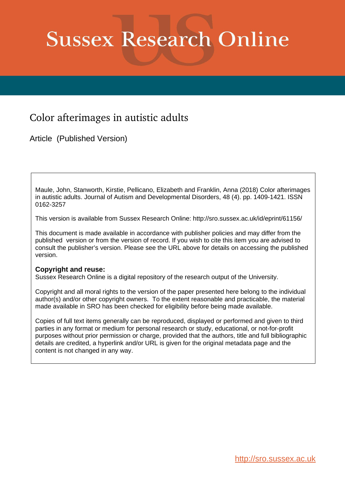# **Sussex Research Online**

# Color afterimages in autistic adults

Article (Published Version)

Maule, John, Stanworth, Kirstie, Pellicano, Elizabeth and Franklin, Anna (2018) Color afterimages in autistic adults. Journal of Autism and Developmental Disorders, 48 (4). pp. 1409-1421. ISSN 0162-3257

This version is available from Sussex Research Online: http://sro.sussex.ac.uk/id/eprint/61156/

This document is made available in accordance with publisher policies and may differ from the published version or from the version of record. If you wish to cite this item you are advised to consult the publisher's version. Please see the URL above for details on accessing the published version.

### **Copyright and reuse:**

Sussex Research Online is a digital repository of the research output of the University.

Copyright and all moral rights to the version of the paper presented here belong to the individual author(s) and/or other copyright owners. To the extent reasonable and practicable, the material made available in SRO has been checked for eligibility before being made available.

Copies of full text items generally can be reproduced, displayed or performed and given to third parties in any format or medium for personal research or study, educational, or not-for-profit purposes without prior permission or charge, provided that the authors, title and full bibliographic details are credited, a hyperlink and/or URL is given for the original metadata page and the content is not changed in any way.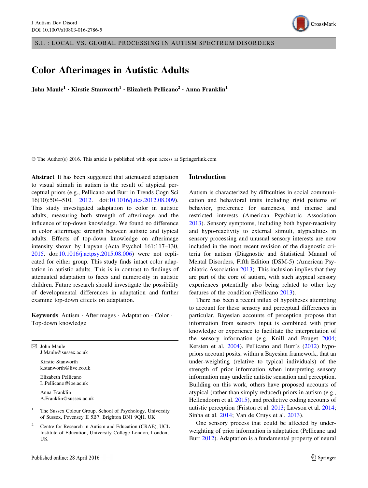

S.I. : LOCAL VS. GLOBAL PROCESSING IN AUTISM SPECTRUM DISORDERS

## Color Afterimages in Autistic Adults

John Maule<sup>1</sup> • Kirstie Stanworth<sup>1</sup> • Elizabeth Pellicano<sup>2</sup> • Anna Franklin<sup>1</sup>

© The Author(s) 2016. This article is published with open access at Springerlink.com

Abstract It has been suggested that attenuated adaptation to visual stimuli in autism is the result of atypical perceptual priors (e.g., Pellicano and Burr in Trends Cogn Sci 16(10):504–510, [2012](#page-13-0). doi[:10.1016/j.tics.2012.08.009](http://dx.doi.org/10.1016/j.tics.2012.08.009)). This study investigated adaptation to color in autistic adults, measuring both strength of afterimage and the influence of top-down knowledge. We found no difference in color afterimage strength between autistic and typical adults. Effects of top-down knowledge on afterimage intensity shown by Lupyan (Acta Psychol 161:117–130, [2015.](#page-13-0) doi[:10.1016/j.actpsy.2015.08.006\)](http://dx.doi.org/10.1016/j.actpsy.2015.08.006) were not replicated for either group. This study finds intact color adaptation in autistic adults. This is in contrast to findings of attenuated adaptation to faces and numerosity in autistic children. Future research should investigate the possibility of developmental differences in adaptation and further examine top-down effects on adaptation.

Keywords Autism · Afterimages · Adaptation · Color · Top-down knowledge

| John Maule<br>J. Maule@sussex.ac.uk                                                                           |
|---------------------------------------------------------------------------------------------------------------|
| Kirstie Stanworth<br>k.stanworth@live.co.uk                                                                   |
| Elizabeth Pellicano<br>L. Pellicano@ioe.ac.uk                                                                 |
| Anna Franklin<br>A. Franklin@sussex.ac.uk                                                                     |
| The Sussex Colour Group, School of Psychology, University<br>of Sussex, Pevensey II 5B7, Brighton BN1 9QH, UK |

<sup>2</sup> Centre for Research in Autism and Education (CRAE), UCL Institute of Education, University College London, London, UK

#### Introduction

Autism is characterized by difficulties in social communication and behavioral traits including rigid patterns of behavior, preference for sameness, and intense and restricted interests (American Psychiatric Association [2013](#page-12-0)). Sensory symptoms, including both hyper-reactivity and hypo-reactivity to external stimuli, atypicalities in sensory processing and unusual sensory interests are now included in the most recent revision of the diagnostic criteria for autism (Diagnostic and Statistical Manual of Mental Disorders, Fifth Edition (DSM-5) (American Psychiatric Association [2013\)](#page-12-0). This inclusion implies that they are part of the core of autism, with such atypical sensory experiences potentially also being related to other key features of the condition (Pellicano [2013](#page-13-0)).

There has been a recent influx of hypotheses attempting to account for these sensory and perceptual differences in particular. Bayesian accounts of perception propose that information from sensory input is combined with prior knowledge or experience to facilitate the interpretation of the sensory information (e.g. Knill and Pouget [2004](#page-12-0); Kersten et al. [2004](#page-12-0)). Pellicano and Burr's [\(2012](#page-13-0)) hypopriors account posits, within a Bayesian framework, that an under-weighting (relative to typical individuals) of the strength of prior information when interpreting sensory information may underlie autistic sensation and perception. Building on this work, others have proposed accounts of atypical (rather than simply reduced) priors in autism (e.g., Hellendoorn et al. [2015\)](#page-12-0), and predictive coding accounts of autistic perception (Friston et al. [2013](#page-12-0); Lawson et al. [2014](#page-13-0); Sinha et al. [2014;](#page-13-0) Van de Cruys et al. [2013\)](#page-13-0).

One sensory process that could be affected by underweighting of prior information is adaptation (Pellicano and Burr [2012](#page-13-0)). Adaptation is a fundamental property of neural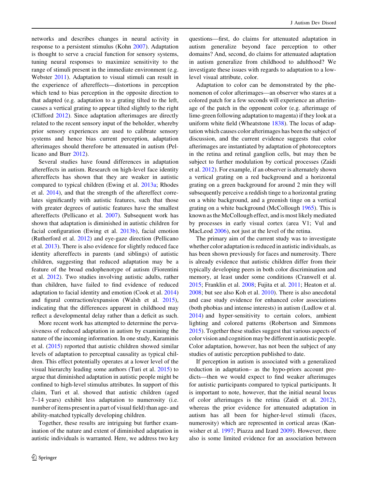networks and describes changes in neural activity in response to a persistent stimulus (Kohn [2007\)](#page-12-0). Adaptation is thought to serve a crucial function for sensory systems, tuning neural responses to maximize sensitivity to the range of stimuli present in the immediate environment (e.g. Webster [2011](#page-13-0)). Adaptation to visual stimuli can result in the experience of aftereffects—distortions in perception which tend to bias perception in the opposite direction to that adapted (e.g. adaptation to a grating tilted to the left, causes a vertical grating to appear tilted slightly to the right (Clifford [2012](#page-12-0)). Since adaptation afterimages are directly related to the recent sensory input of the beholder, whereby prior sensory experiences are used to calibrate sensory systems and hence bias current perception, adaptation afterimages should therefore be attenuated in autism (Pellicano and Burr [2012](#page-13-0)).

Several studies have found differences in adaptation aftereffects in autism. Research on high-level face identity aftereffects has shown that they are weaker in autistic compared to typical children (Ewing et al. [2013a](#page-12-0); Rhodes et al. [2014](#page-13-0)), and that the strength of the aftereffect correlates significantly with autistic features, such that those with greater degrees of autistic features have the smallest aftereffects (Pellicano et al. [2007\)](#page-13-0). Subsequent work has shown that adaptation is diminished in autistic children for facial configuration (Ewing et al. [2013b\)](#page-12-0), facial emotion (Rutherford et al. [2012\)](#page-13-0) and eye-gaze direction (Pellicano et al. [2013\)](#page-13-0). There is also evidence for slightly reduced face identity aftereffects in parents (and siblings) of autistic children, suggesting that reduced adaptation may be a feature of the broad endophenotype of autism (Fiorentini et al. [2012](#page-12-0)). Two studies involving autistic adults, rather than children, have failed to find evidence of reduced adaptation to facial identity and emotion (Cook et al. [2014\)](#page-12-0) and figural contraction/expansion (Walsh et al. [2015](#page-13-0)), indicating that the differences apparent in childhood may reflect a developmental delay rather than a deficit as such.

More recent work has attempted to determine the pervasiveness of reduced adaptation in autism by examining the nature of the incoming information. In one study, Karaminis et al. ([2015\)](#page-12-0) reported that autistic children showed similar levels of adaptation to perceptual causality as typical children. This effect potentially operates at a lower level of the visual hierarchy leading some authors (Turi et al. [2015\)](#page-13-0) to argue that diminished adaptation in autistic people might be confined to high-level stimulus attributes. In support of this claim, Turi et al. showed that autistic children (aged 7–14 years) exhibit less adaptation to numerosity (i.e. number of items present in a part of visual field) than age- and ability-matched typically developing children.

Together, these results are intriguing but further examination of the nature and extent of diminished adaptation in autistic individuals is warranted. Here, we address two key questions—first, do claims for attenuated adaptation in autism generalize beyond face perception to other domains? And, second, do claims for attenuated adaptation in autism generalize from childhood to adulthood? We investigate these issues with regards to adaptation to a lowlevel visual attribute, color.

Adaptation to color can be demonstrated by the phenomenon of color afterimages—an observer who stares at a colored patch for a few seconds will experience an afterimage of the patch in the opponent color (e.g. afterimage of lime-green following adaptation to magenta) if they look at a uniform white field (Wheatstone [1838](#page-13-0)). The locus of adaptation which causes color afterimages has been the subject of discussion, and the current evidence suggests that color afterimages are instantiated by adaptation of photoreceptors in the retina and retinal ganglion cells, but may then be subject to further modulation by cortical processes (Zaidi et al. [2012](#page-13-0)). For example, if an observer is alternately shown a vertical grating on a red background and a horizontal grating on a green background for around 2 min they will subsequently perceive a reddish tinge to a horizontal grating on a white background, and a greenish tinge on a vertical grating on a white background (McCollough [1965\)](#page-13-0). This is known as the McCollough effect, and is most likely mediated by processes in early visual cortex (area V1; Vul and MacLeod [2006\)](#page-13-0), not just at the level of the retina.

The primary aim of the current study was to investigate whether color adaptation is reduced in autistic individuals, as has been shown previously for faces and numerosity. There is already evidence that autistic children differ from their typically developing peers in both color discrimination and memory, at least under some conditions (Cranwell et al. [2015](#page-12-0); Franklin et al. [2008;](#page-12-0) Fujita et al. [2011;](#page-12-0) Heaton et al. [2008](#page-12-0); but see also Koh et al. [2010](#page-12-0)). There is also anecdotal and case study evidence for enhanced color associations (both phobias and intense interests) in autism (Ludlow et al. [2014](#page-13-0)) and hyper-sensitivity to certain colors, ambient lighting and colored patterns (Robertson and Simmons [2015](#page-13-0)). Together these studies suggest that various aspects of color vision and cognition may be different in autistic people. Color adaptation, however, has not been the subject of any studies of autistic perception published to date.

If perception in autism is associated with a generalized reduction in adaptation– as the hypo-priors account predicts—then we would expect to find weaker afterimages for autistic participants compared to typical participants. It is important to note, however, that the initial neural locus of color afterimages is the retina (Zaidi et al. [2012](#page-13-0)), whereas the prior evidence for attenuated adaptation in autism has all been for higher-level stimuli (faces, numerosity) which are represented in cortical areas (Kanwisher et al. [1997](#page-12-0); Piazza and Izard [2009\)](#page-13-0). However, there also is some limited evidence for an association between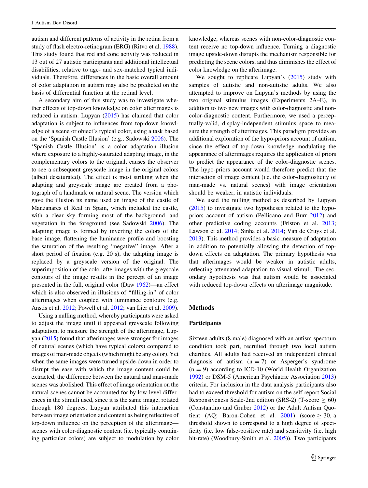autism and different patterns of activity in the retina from a study of flash electro-retinogram (ERG) (Ritvo et al. [1988](#page-13-0)). This study found that rod and cone activity was reduced in 13 out of 27 autistic participants and additional intellectual disabilities, relative to age- and sex-matched typical individuals. Therefore, differences in the basic overall amount of color adaptation in autism may also be predicted on the basis of differential function at the retinal level.

A secondary aim of this study was to investigate whether effects of top-down knowledge on color afterimages is reduced in autism. Lupyan [\(2015](#page-13-0)) has claimed that color adaptation is subject to influences from top-down knowledge of a scene or object's typical color, using a task based on the 'Spanish Castle Illusion' (e.g., Sadowski [2006](#page-13-0)). The 'Spanish Castle Illusion' is a color adaptation illusion where exposure to a highly-saturated adapting image, in the complementary colors to the original, causes the observer to see a subsequent greyscale image in the original colors (albeit desaturated). The effect is most striking when the adapting and greyscale image are created from a photograph of a landmark or natural scene. The version which gave the illusion its name used an image of the castle of Manzanares el Real in Spain, which included the castle, with a clear sky forming most of the background, and vegetation in the foreground (see Sadowski [2006\)](#page-13-0). The adapting image is formed by inverting the colors of the base image, flattening the luminance profile and boosting the saturation of the resulting ''negative'' image. After a short period of fixation (e.g. 20 s), the adapting image is replaced by a greyscale version of the original. The superimposition of the color afterimages with the greyscale contours of the image results in the percept of an image presented in the full, original color (Daw [1962\)](#page-12-0)—an effect which is also observed in illusions of "filling-in" of color afterimages when coupled with luminance contours (e.g. Anstis et al. [2012](#page-12-0); Powell et al. [2012](#page-13-0); van Lier et al. [2009](#page-13-0)).

Using a nulling method, whereby participants were asked to adjust the image until it appeared greyscale following adaptation, to measure the strength of the afterimage, Lupyan [\(2015](#page-13-0)) found that afterimages were stronger for images of natural scenes (which have typical colors) compared to images of man-made objects (which might be any color). Yet when the same images were turned upside-down in order to disrupt the ease with which the image content could be extracted, the difference between the natural and man-made scenes was abolished. This effect of image orientation on the natural scenes cannot be accounted for by low-level differences in the stimuli used, since it is the same image, rotated through 180 degrees. Lupyan attributed this interaction between image orientation and content as being reflective of top-down influence on the perception of the afterimage scenes with color-diagnostic content (i.e. typically containing particular colors) are subject to modulation by color knowledge, whereas scenes with non-color-diagnostic content receive no top-down influence. Turning a diagnostic image upside-down disrupts the mechanism responsible for predicting the scene colors, and thus diminishes the effect of color knowledge on the afterimage.

We sought to replicate Lupyan's [\(2015](#page-13-0)) study with samples of autistic and non-autistic adults. We also attempted to improve on Lupyan's methods by using the two original stimulus images (Experiments 2A–E), in addition to two new images with color-diagnostic and noncolor-diagnostic content. Furthermore, we used a perceptually-valid, display-independent stimulus space to measure the strength of afterimages. This paradigm provides an additional exploration of the hypo-priors account of autism, since the effect of top-down knowledge modulating the appearance of afterimages requires the application of priors to predict the appearance of the color-diagnostic scenes. The hypo-priors account would therefore predict that the interaction of image content (i.e. the color-diagnosticity of man-made vs. natural scenes) with image orientation should be weaker, in autistic individuals.

We used the nulling method as described by Lupyan [\(2015](#page-13-0)) to investigate two hypotheses related to the hypopriors account of autism (Pellicano and Burr [2012\)](#page-13-0) and other predictive coding accounts (Friston et al. [2013](#page-12-0); Lawson et al. [2014](#page-13-0); Sinha et al. [2014](#page-13-0); Van de Cruys et al. [2013](#page-13-0)). This method provides a basic measure of adaptation in addition to potentially allowing the detection of topdown effects on adaptation. The primary hypothesis was that afterimages would be weaker in autistic adults, reflecting attenuated adaptation to visual stimuli. The secondary hypothesis was that autism would be associated with reduced top-down effects on afterimage magnitude.

#### Methods

#### Participants

Sixteen adults (8 male) diagnosed with an autism spectrum condition took part, recruited through two local autism charities. All adults had received an independent clinical diagnosis of autism  $(n = 7)$  or Asperger's syndrome  $(n = 9)$  according to ICD-10 (World Health Organization [1992](#page-13-0)) or DSM-5 (American Psychiatric Association [2013\)](#page-12-0) criteria. For inclusion in the data analysis participants also had to exceed threshold for autism on the self-report Social Responsiveness Scale-2nd edition (SRS-2) (T-score  $\geq 60$ ) (Constantino and Gruber [2012\)](#page-12-0) or the Adult Autism Quotient (AQ; Baron-Cohen et al.  $2001$ ) (score  $\geq 30$ , a threshold shown to correspond to a high degree of specificity (i.e. low false-positive rate) and sensitivity (i.e. high hit-rate) (Woodbury-Smith et al. [2005\)](#page-13-0)). Two participants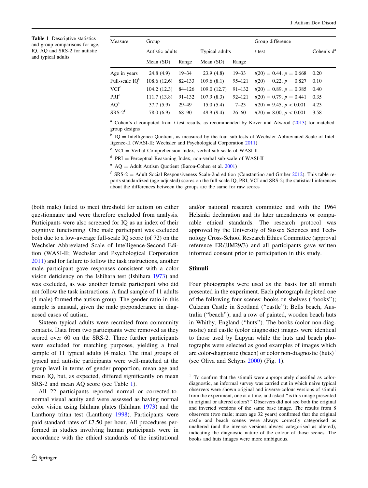<span id="page-4-0"></span>Table 1 Descriptive statistics and group comparisons for age, IQ, AQ and SRS-2 for autistic and typical adults

| Measure                    | Group           |            |                |            | Group difference          |               |
|----------------------------|-----------------|------------|----------------|------------|---------------------------|---------------|
|                            | Autistic adults |            | Typical adults |            | t test                    | Cohen's $d^a$ |
|                            | Mean $(SD)$     | Range      | Mean $(SD)$    | Range      |                           |               |
| Age in years               | 24.8(4.9)       | $19 - 34$  | 23.9(4.8)      | $19 - 33$  | $t(20) = 0.44, p = 0.668$ | 0.20          |
| Full-scale IO <sup>b</sup> | 108.6(12.6)     | $82 - 133$ | 109.6(8.1)     | $95 - 121$ | $t(20) = 0.22, p = 0.827$ | 0.10          |
| $\mathrm{VCI}^\mathrm{c}$  | 104.2(12.3)     | 84–126     | 109.0(12.7)    | $91 - 132$ | $t(20) = 0.89, p = 0.385$ | 0.40          |
| $\mathsf{PRI}^{\rm d}$     | 111.7(13.8)     | $91 - 132$ | 107.9(8.3)     | $92 - 121$ | $t(20) = 0.79, p = 0.441$ | 0.35          |
| $AQ^e$                     | 37.7(5.9)       | $29 - 49$  | 15.0(5.4)      | $7 - 23$   | $t(20) = 9.45, p < 0.001$ | 4.23          |
| $SRS-2^f$                  | 78.0 (6.9)      | 68-90      | 49.9 (9.4)     | $26 - 60$  | $t(20) = 8.00, p < 0.001$ | 3.58          |
|                            |                 |            |                |            |                           |               |

Cohen's d computed from  $t$  test results, as recommended by Kover and Atwood [\(2013](#page-12-0)) for matchedgroup designs

 $b$  IQ = Intelligence Quotient, as measured by the four sub-tests of Wechsler Abbreviated Scale of Intelligence-II (WASI-II; Wechsler and Psychological Corporation [2011\)](#page-13-0)

 $C$  VCI = Verbal Comprehension Index, verbal sub-scale of WASI-II

<sup>d</sup> PRI = Perceptual Reasoning Index, non-verbal sub-scale of WASI-II

 $^{\circ}$  AQ = Adult Autism Quotient (Baron-Cohen et al. [2001\)](#page-12-0)

 $f$  SRS-2 = Adult Social Responsiveness Scale-2nd edition (Constantino and Gruber [2012\)](#page-12-0). This table reports standardized (age-adjusted) scores on the full-scale IQ, PRI, VCI and SRS-2; the statistical inferences about the differences between the groups are the same for raw scores

(both male) failed to meet threshold for autism on either questionnaire and were therefore excluded from analysis. Participants were also screened for IQ as an index of their cognitive functioning. One male participant was excluded both due to a low-average full-scale IQ score (of 72) on the Wechsler Abbreviated Scale of Intelligence-Second Edition (WASI-II; Wechsler and Psychological Corporation [2011\)](#page-13-0) and for failure to follow the task instructions, another male participant gave responses consistent with a color vision deficiency on the Ishihara test (Ishihara [1973](#page-12-0)) and was excluded, as was another female participant who did not follow the task instructions. A final sample of 11 adults (4 male) formed the autism group. The gender ratio in this sample is unusual, given the male preponderance in diagnosed cases of autism.

Sixteen typical adults were recruited from community contacts. Data from two participants were removed as they scored over 60 on the SRS-2. Three further participants were excluded for matching purposes, yielding a final sample of 11 typical adults (4 male). The final groups of typical and autistic participants were well-matched at the group level in terms of gender proportion, mean age and mean IQ, but, as expected, differed significantly on mean SRS-2 and mean AQ score (see Table 1).

All 22 participants reported normal or corrected-tonormal visual acuity and were assessed as having normal color vision using Ishihara plates (Ishihara [1973\)](#page-12-0) and the Lanthony tritan test (Lanthony [1998](#page-12-0)). Participants were paid standard rates of £7.50 per hour. All procedures performed in studies involving human participants were in accordance with the ethical standards of the institutional and/or national research committee and with the 1964 Helsinki declaration and its later amendments or comparable ethical standards. The research protocol was approved by the University of Sussex Sciences and Technology Cross-School Research Ethics Committee (approval reference ER/JJM29/3) and all participants gave written informed consent prior to participation in this study.

#### Stimuli

Four photographs were used as the basis for all stimuli presented in the experiment. Each photograph depicted one of the following four scenes: books on shelves (''books''); Culzean Castle in Scotland (''castle''); Bells beach, Australia (''beach''); and a row of painted, wooden beach huts in Whitby, England (''huts''). The books (color non-diagnostic) and castle (color diagnostic) images were identical to those used by Lupyan while the huts and beach photographs were selected as good examples of images which are color-diagnostic (beach) or color non-diagnostic  $(huts)^{1}$ (see Oliva and Schyns [2000](#page-13-0)) (Fig. [1](#page-5-0)).

 $1$  To confirm that the stimuli were appropriately classified as colordiagnostic, an informal survey was carried out in which naive typical observers were shown original and inverse-colour versions of stimuli from the experiment, one at a time, and asked ''is this image presented in original or altered colors?'' Observers did not see both the original and inverted versions of the same base image. The results from 8 observers (two male; mean age 32 years) confirmed that the original castle and beach scenes were always correctly categorised as unaltered (and the inverse versions always categorised as altered), indicating the diagnostic nature of the colour of those scenes. The books and huts images were more ambiguous.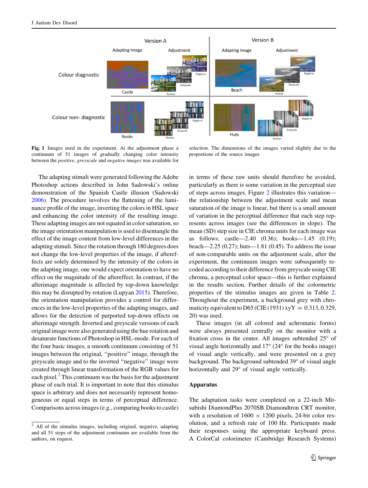<span id="page-5-0"></span>

Fig. 1 Images used in the experiment. At the adjustment phase a continuum of 51 images of gradually changing color intensity between the positive, greyscale and negative images was available for

selection. The dimensions of the images varied slightly due to the proportions of the source images

The adapting stimuli were generated following the Adobe Photoshop actions described in John Sadowski's online demonstration of the Spanish Castle illusion (Sadowski [2006\)](#page-13-0). The procedure involves the flattening of the luminance profile of the image, inverting the colors in HSL space and enhancing the color intensity of the resulting image. These adapting images are not equated in color saturation, so the image orientation manipulation is used to disentangle the effect of the image content from low-level differences in the adapting stimuli. Since the rotation through 180 degrees does not change the low-level properties of the image, if aftereffects are solely determined by the intensity of the colors in the adapting image, one would expect orientation to have no effect on the magnitude of the aftereffect. In contrast, if the afterimage magnitude is affected by top-down knowledge this may be disrupted by rotation (Lupyan [2015](#page-13-0)). Therefore, the orientation manipulation provides a control for differences in the low-level properties of the adapting images, and allows for the detection of purported top-down effects on afterimage strength. Inverted and greyscale versions of each original image were also generated using the hue rotation and desaturate functions of Photoshop in HSL-mode. For each of the four basic images, a smooth continuum consisting of 51 images between the original, ''positive'' image, through the greyscale image and to the inverted ''negative'' image were created through linear transformation of the RGB values for each pixel. $\frac{2}{3}$  This continuum was the basis for the adjustment phase of each trial. It is important to note that this stimulus space is arbitrary and does not necessarily represent homogeneous or equal steps in terms of perceptual difference. Comparisons across images (e.g., comparing books to castle)

in terms of these raw units should therefore be avoided, particularly as there is some variation in the perceptual size of steps across images. Figure [2](#page-6-0) illustrates this variation the relationship between the adjustment scale and mean saturation of the image is linear, but there is a small amount of variation in the perceptual difference that each step represents across images (see the differences in slope). The mean (SD) step size in CIE chroma units for each image was as follows: castle—2.40 (0.36); books—1.45 (0.19); beach—2.25  $(0.27)$ ; huts—1.81  $(0.45)$ . To address the issue of non-comparable units on the adjustment scale, after the experiment, the continuum images were subsequently recoded according to their difference from greyscale using CIE chroma, a perceptual color space—this is further explained in the results section. Further details of the colormetric properties of the stimulus images are given in Table [2.](#page-6-0) Throughout the experiment, a background grey with chromaticity equivalent to D65 (CIE (1931)  $xyY = 0.313, 0.329$ , 20) was used.

These images (in all colored and achromatic forms) were always presented centrally on the monitor with a fixation cross in the center. All images subtended  $25^{\circ}$  of visual angle horizontally and  $17^{\circ}$  (24 $^{\circ}$  for the books image) of visual angle vertically, and were presented on a grey background. The background subtended 39° of visual angle horizontally and 29° of visual angle vertically.

#### Apparatus

The adaptation tasks were completed on a 22-inch Mitsubishi DiamondPlus 2070SB Diamondtron CRT monitor, with a resolution of  $1600 \times 1200$  pixels, 24-bit color resolution, and a refresh rate of 100 Hz. Participants made their responses using the appropriate keyboard press. A ColorCal colorimeter (Cambridge Research Systems)

<sup>2</sup> All of the stimulus images, including original, negative, adapting and all 51 steps of the adjustment continuum are available from the authors, on request.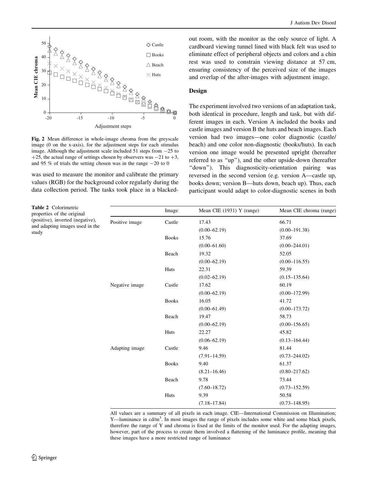<span id="page-6-0"></span>

Fig. 2 Mean difference in whole-image chroma from the greyscale image (0 on the x-axis), for the adjustment steps for each stimulus image. Although the adjustment scale included  $51$  steps from  $-25$  to  $+25$ , the actual range of settings chosen by observers was  $-21$  to  $+3$ , and 95 % of trials the setting chosen was in the range  $-20$  to 0

was used to measure the monitor and calibrate the primary values (RGB) for the background color regularly during the data collection period. The tasks took place in a blackedout room, with the monitor as the only source of light. A cardboard viewing tunnel lined with black felt was used to eliminate effect of peripheral objects and colors and a chin rest was used to constrain viewing distance at 57 cm, ensuring consistency of the perceived size of the images and overlap of the after-images with adjustment image.

#### Design

The experiment involved two versions of an adaptation task, both identical in procedure, length and task, but with different images in each. Version A included the books and castle images and version B the huts and beach images. Each version had two images—one color diagnostic (castle/ beach) and one color non-diagnostic (books/huts). In each version one image would be presented upright (hereafter referred to as ''up''), and the other upside-down (hereafter "down"). This diagnosticity-orientation pairing was reversed in the second version (e.g. version A—castle up, books down; version B—huts down, beach up). Thus, each participant would adapt to color-diagnostic scenes in both

| Table 2 Colorimetric<br>properties of the original |                | Image        | Mean CIE (1931) Y (range) | Mean CIE chroma (range) |
|----------------------------------------------------|----------------|--------------|---------------------------|-------------------------|
| (positive), inverted (negative),                   | Positive image | Castle       | 17.43                     | 66.71                   |
| and adapting images used in the<br>study           |                |              | $(0.00 - 62.19)$          | $(0.00-191.38)$         |
|                                                    |                | <b>Books</b> | 15.76                     | 37.69                   |
|                                                    |                |              | $(0.00 - 61.60)$          | $(0.00 - 244.01)$       |
|                                                    |                | Beach        | 19.32                     | 52.05                   |
|                                                    |                |              | $(0.00 - 62.19)$          | $(0.00-116.55)$         |
|                                                    |                | Huts         | 22.31                     | 59.39                   |
|                                                    |                |              | $(0.02 - 62.19)$          | $(0.15 - 135.64)$       |
|                                                    | Negative image | Castle       | 17.62                     | 60.19                   |
|                                                    |                |              | $(0.00 - 62.19)$          | $(0.00 - 172.99)$       |
|                                                    |                | <b>Books</b> | 16.05                     | 41.72                   |
|                                                    |                |              | $(0.00 - 61.49)$          | $(0.00 - 173.72)$       |
|                                                    |                | Beach        | 19.47                     | 58.73                   |
|                                                    |                |              | $(0.00 - 62.19)$          | $(0.00-156.65)$         |
|                                                    |                | Huts         | 22.27                     | 45.82                   |
|                                                    |                |              | $(0.06 - 62.19)$          | $(0.13 - 164.44)$       |
|                                                    | Adapting image | Castle       | 9.46                      | 81.44                   |
|                                                    |                |              | $(7.91 - 14.59)$          | $(0.73 - 244.02)$       |
|                                                    |                | <b>Books</b> | 9.40                      | 61.37                   |
|                                                    |                |              | $(8.21 - 16.46)$          | $(0.80 - 217.62)$       |
|                                                    |                | Beach        | 9.78                      | 73.44                   |
|                                                    |                |              | $(7.60 - 18.72)$          | $(0.73 - 152.59)$       |
|                                                    |                | Huts         | 9.39                      | 50.58                   |
|                                                    |                |              | $(7.18 - 17.84)$          | $(0.73 - 148.95)$       |
|                                                    |                |              |                           |                         |

All values are a summary of all pixels in each image. CIE—International Commission on Illumination; Y—luminance in cd/m<sup>3</sup>. In most images the range of pixels includes some white and some black pixels, therefore the range of Y and chroma is fixed at the limits of the monitor used. For the adapting images, however, part of the process to create them involved a flattening of the luminance profile, meaning that these images have a more restricted range of luminance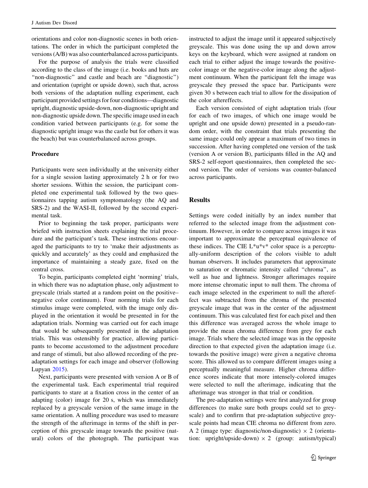orientations and color non-diagnostic scenes in both orientations. The order in which the participant completed the versions (A/B) was also counterbalanced across participants.

For the purpose of analysis the trials were classified according to the class of the image (i.e. books and huts are "non-diagnostic" and castle and beach are "diagnostic") and orientation (upright or upside down), such that, across both versions of the adaptation nulling experiment, each participant provided settings for four conditions—diagnostic upright, diagnostic upside-down, non-diagnostic upright and non-diagnostic upside down. The specific image used in each condition varied between participants (e.g. for some the diagnostic upright image was the castle but for others it was the beach) but was counterbalanced across groups.

#### Procedure

Participants were seen individually at the university either for a single session lasting approximately 2 h or for two shorter sessions. Within the session, the participant completed one experimental task followed by the two questionnaires tapping autism symptomatology (the AQ and SRS-2) and the WASI-II, followed by the second experimental task.

Prior to beginning the task proper, participants were briefed with instruction sheets explaining the trial procedure and the participant's task. These instructions encouraged the participants to try to 'make their adjustments as quickly and accurately' as they could and emphasized the importance of maintaining a steady gaze, fixed on the central cross.

To begin, participants completed eight 'norming' trials, in which there was no adaptation phase, only adjustment to greyscale (trials started at a random point on the positive– negative color continuum). Four norming trials for each stimulus image were completed, with the image only displayed in the orientation it would be presented in for the adaptation trials. Norming was carried out for each image that would be subsequently presented in the adaptation trials. This was ostensibly for practice, allowing participants to become accustomed to the adjustment procedure and range of stimuli, but also allowed recording of the preadaptation settings for each image and observer (following Lupyan [2015\)](#page-13-0).

Next, participants were presented with version A or B of the experimental task. Each experimental trial required participants to stare at a fixation cross in the center of an adapting (color) image for 20 s, which was immediately replaced by a greyscale version of the same image in the same orientation. A nulling procedure was used to measure the strength of the afterimage in terms of the shift in perception of this greyscale image towards the positive (natural) colors of the photograph. The participant was instructed to adjust the image until it appeared subjectively greyscale. This was done using the up and down arrow keys on the keyboard, which were assigned at random on each trial to either adjust the image towards the positivecolor image or the negative-color image along the adjustment continuum. When the participant felt the image was greyscale they pressed the space bar. Participants were given 30 s between each trial to allow for the dissipation of the color aftereffects.

Each version consisted of eight adaptation trials (four for each of two images, of which one image would be upright and one upside down) presented in a pseudo-random order, with the constraint that trials presenting the same image could only appear a maximum of two times in succession. After having completed one version of the task (version A or version B), participants filled in the AQ and SRS-2 self-report questionnaires, then completed the second version. The order of versions was counter-balanced across participants.

#### Results

Settings were coded initially by an index number that referred to the selected image from the adjustment continuum. However, in order to compare across images it was important to approximate the perceptual equivalence of these indices. The CIE  $L^*u^*v^*$  color space is a perceptually-uniform description of the colors visible to adult human observers. It includes parameters that approximate to saturation or chromatic intensity called ''chroma'', as well as hue and lightness. Stronger afterimages require more intense chromatic input to null them. The chroma of each image selected in the experiment to null the aftereffect was subtracted from the chroma of the presented greyscale image that was in the center of the adjustment continuum. This was calculated first for each pixel and then this difference was averaged across the whole image to provide the mean chroma difference from grey for each image. Trials where the selected image was in the opposite direction to that expected given the adaptation image (i.e. towards the positive image) were given a negative chroma score. This allowed us to compare different images using a perceptually meaningful measure. Higher chroma difference scores indicate that more intensely-colored images were selected to null the afterimage, indicating that the afterimage was stronger in that trial or condition.

The pre-adaptation settings were first analyzed for group differences (to make sure both groups could set to greyscale) and to confirm that pre-adaptation subjective greyscale points had mean CIE chroma no different from zero. A 2 (image type: diagnostic/non-diagnostic)  $\times$  2 (orientation: upright/upside-down)  $\times$  2 (group: autism/typical)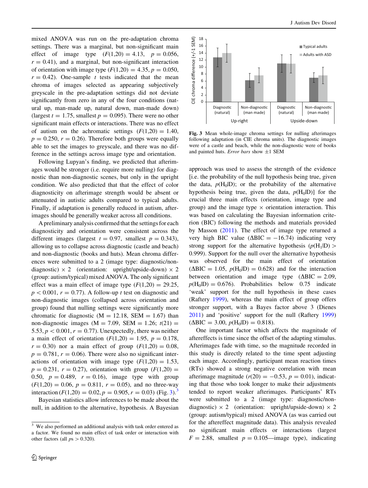<span id="page-8-0"></span>mixed ANOVA was run on the pre-adaptation chroma settings. There was a marginal, but non-significant main effect of image type  $(F(1,20) = 4.13, p = 0.056,$  $r = 0.41$ , and a marginal, but non-significant interaction of orientation with image type  $(F(1,20) = 4.35, p = 0.050,$  $r = 0.42$ ). One-sample t tests indicated that the mean chroma of images selected as appearing subjectively greyscale in the pre-adaptation settings did not deviate significantly from zero in any of the four conditions (natural up, man-made up, natural down, man-made down) (largest  $t = 1.75$ , smallest  $p = 0.095$ ). There were no other significant main effects or interactions. There was no effect of autism on the achromatic settings  $(F(1,20) = 1.40,$  $p = 0.250$ ,  $r = 0.26$ ). Therefore both groups were equally able to set the images to greyscale, and there was no difference in the settings across image type and orientation.

Following Lupyan's finding, we predicted that afterimages would be stronger (i.e. require more nulling) for diagnostic than non-diagnostic scenes, but only in the upright condition. We also predicted that that the effect of color diagnosticity on afterimage strength would be absent or attenuated in autistic adults compared to typical adults. Finally, if adaptation is generally reduced in autism, afterimages should be generally weaker across all conditions.

A preliminary analysis confirmed that the settings for each diagnosticity and orientation were consistent across the different images (largest  $t = 0.97$ , smallest  $p = 0.343$ ), allowing us to collapse across diagnostic (castle and beach) and non-diagnostic (books and huts). Mean chroma differences were submitted to a 2 (image type: diagnostic/nondiagnostic)  $\times$  2 (orientation: upright/upside-down)  $\times$  2 (group: autism/typical) mixed ANOVA. The only significant effect was a main effect of image type  $(F(1,20) = 29.25,$  $p \lt 0.001$ ,  $r = 0.77$ ). A follow-up t test on diagnostic and non-diagnostic images (collapsed across orientation and group) found that nulling settings were significantly more chromatic for diagnostic ( $M = 12.18$ , SEM = 1.67) than non-diagnostic images ( $M = 7.09$ , SEM = 1.26;  $t(21)$  = 5.53,  $p < 0.001$ ,  $r = 0.77$ ). Unexpectedly, there was neither a main effect of orientation  $(F(1,20) = 1.95, p = 0.178,$  $r = 0.30$ ) nor a main effect of group  $(F(1,20) = 0.08$ ,  $p = 0.781$ ,  $r = 0.06$ ). There were also no significant interactions of orientation with image type  $(F(1,20) = 1.53)$ ,  $p = 0.231$ ,  $r = 0.27$ , orientation with group  $(F(1,20)) =$ 0.50,  $p = 0.489$ ,  $r = 0.16$ ), image type with group  $(F(1,20) = 0.06, p = 0.811, r = 0.05)$ , and no three-way interaction ( $F(1,20) = 0.02$ ,  $p = 0.905$ ,  $r = 0.03$ ) (Fig. 3).<sup>3</sup>

Bayesian statistics allow inferences to be made about the null, in addition to the alternative, hypothesis. A Bayesian



Fig. 3 Mean whole-image chroma settings for nulling afterimages following adaptation (in CIE chroma units). The diagnostic images were of a castle and beach, while the non-diagnostic were of books and painted huts. Error bars show  $\pm 1$  SEM

approach was used to assess the strength of the evidence [i.e. the probability of the null hypothesis being true, given the data,  $p(H_0|D)$ ; or the probability of the alternative hypothesis being true, given the data,  $p(H_0|D)$  for the crucial three main effects (orientation, image type and group) and the image type  $\times$  orientation interaction. This was based on calculating the Bayesian information criterion (BIC) following the methods and materials provided by Masson ([2011\)](#page-13-0). The effect of image type returned a very high BIC value ( $\triangle BIC = -16.74$ ) indicating very strong support for the alternative hypothesis ( $p(H_1|D)$ ) 0.999). Support for the null over the alternative hypothesis was observed for the main effect of orientation  $(\Delta BIC = 1.05, p(H<sub>0</sub>|D) = 0.628)$  and for the interaction between orientation and image type  $(\Delta BIC = 2.09,$  $p(H_0|D) = 0.676$ . Probabilities below 0.75 indicate 'weak' support for the null hypothesis in these cases (Raftery [1999\)](#page-13-0), whereas the main effect of group offers stronger support, with a Bayes factor above 3 (Dienes [2011](#page-12-0)) and 'positive' support for the null (Raftery [1999\)](#page-13-0)  $(\Delta BIC = 3.00, p(H_0|D) = 0.818).$ 

One important factor which affects the magnitude of aftereffects is time since the offset of the adapting stimulus. Afterimages fade with time, so the magnitude recorded in this study is directly related to the time spent adjusting each image. Accordingly, participant mean reaction times (RTs) showed a strong negative correlation with mean afterimage magnitude  $(r(20) = -0.53, p = 0.01)$ , indicating that those who took longer to make their adjustments tended to report weaker afterimages. Participants' RTs were submitted to a 2 (image type: diagnostic/nondiagnostic)  $\times$  2 (orientation: upright/upside-down)  $\times$  2 (group: autism/typical) mixed ANOVA (as was carried out for the aftereffect magnitude data). This analysis revealed no significant main effects or interactions (largest  $F = 2.88$ , smallest  $p = 0.105$ —image type), indicating

<sup>&</sup>lt;sup>3</sup> We also performed an additional analysis with task order entered as a factor. We found no main effect of task order or interaction with other factors (all  $ps > 0.320$ ).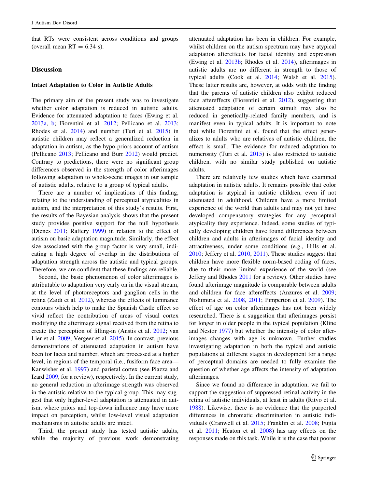that RTs were consistent across conditions and groups (overall mean  $RT = 6.34$  s).

#### **Discussion**

#### Intact Adaptation to Color in Autistic Adults

The primary aim of the present study was to investigate whether color adaptation is reduced in autistic adults. Evidence for attenuated adaptation to faces (Ewing et al. [2013a](#page-12-0), [b](#page-12-0); Fiorentini et al. [2012](#page-12-0); Pellicano et al. [2013](#page-13-0); Rhodes et al. [2014](#page-13-0)) and number (Turi et al. [2015\)](#page-13-0) in autistic children may reflect a generalized reduction in adaptation in autism, as the hypo-priors account of autism (Pellicano [2013](#page-13-0); Pellicano and Burr [2012](#page-13-0)) would predict. Contrary to predictions, there were no significant group differences observed in the strength of color afterimages following adaptation to whole-scene images in our sample of autistic adults, relative to a group of typical adults.

There are a number of implications of this finding, relating to the understanding of perceptual atypicalities in autism, and the interpretation of this study's results. First, the results of the Bayesian analysis shows that the present study provides positive support for the null hypothesis (Dienes [2011;](#page-12-0) Raftery [1999\)](#page-13-0) in relation to the effect of autism on basic adaptation magnitude. Similarly, the effect size associated with the group factor is very small, indicating a high degree of overlap in the distributions of adaptation strength across the autistic and typical groups. Therefore, we are confident that these findings are reliable.

Second, the basic phenomenon of color afterimages is attributable to adaptation very early on in the visual stream, at the level of photoreceptors and ganglion cells in the retina (Zaidi et al. [2012](#page-13-0)), whereas the effects of luminance contours which help to make the Spanish Castle effect so vivid reflect the contribution of areas of visual cortex modifying the afterimage signal received from the retina to create the perception of filling-in (Anstis et al. [2012](#page-12-0); van Lier et al. [2009;](#page-13-0) Vergeer et al. [2015\)](#page-13-0). In contrast, previous demonstrations of attenuated adaptation in autism have been for faces and number, which are processed at a higher level, in regions of the temporal (i.e., fusiform face area— Kanwisher et al. [1997\)](#page-12-0) and parietal cortex (see Piazza and Izard [2009](#page-13-0), for a review), respectively. In the current study, no general reduction in afterimage strength was observed in the autistic relative to the typical group. This may suggest that only higher-level adaptation is attenuated in autism, where priors and top-down influence may have more impact on perception, whilst low-level visual adaptation mechanisms in autistic adults are intact.

Third, the present study has tested autistic adults, while the majority of previous work demonstrating

attenuated adaptation has been in children. For example, whilst children on the autism spectrum may have atypical adaptation aftereffects for facial identity and expression (Ewing et al. [2013b;](#page-12-0) Rhodes et al. [2014\)](#page-13-0), afterimages in autistic adults are no different in strength to those of typical adults (Cook et al. [2014](#page-12-0); Walsh et al. [2015](#page-13-0)). These latter results are, however, at odds with the finding that the parents of autistic children also exhibit reduced face aftereffects (Fiorentini et al. [2012](#page-12-0)), suggesting that attenuated adaptation of certain stimuli may also be reduced in genetically-related family members, and is manifest even in typical adults. It is important to note that while Fiorentini et al. found that the effect generalizes to adults who are relatives of autistic children, the effect is small. The evidence for reduced adaptation to numerosity (Turi et al. [2015](#page-13-0)) is also restricted to autistic children, with no similar study published on autistic adults.

There are relatively few studies which have examined adaptation in autistic adults. It remains possible that color adaptation is atypical in autistic children, even if not attenuated in adulthood. Children have a more limited experience of the world than adults and may not yet have developed compensatory strategies for any perceptual atypicality they experience. Indeed, some studies of typically developing children have found differences between children and adults in afterimages of facial identity and attractiveness, under some conditions (e.g., Hills et al. [2010](#page-12-0); Jeffery et al. [2010](#page-12-0), [2011](#page-12-0)). These studies suggest that children have more flexible norm-based coding of faces, due to their more limited experience of the world (see Jeffery and Rhodes [2011](#page-12-0) for a review). Other studies have found afterimage magnitude is comparable between adults and children for face aftereffects (Anzures et al. [2009](#page-12-0); Nishimura et al. [2008,](#page-13-0) [2011;](#page-13-0) Pimperton et al. [2009](#page-13-0)). The effect of age on color afterimages has not been widely researched. There is a suggestion that afterimages persist for longer in older people in the typical population (Kline and Nestor [1977](#page-12-0)) but whether the intensity of color afterimages changes with age is unknown. Further studies investigating adaptation in both the typical and autistic populations at different stages in development for a range of perceptual domains are needed to fully examine the question of whether age affects the intensity of adaptation afterimages.

Since we found no difference in adaptation, we fail to support the suggestion of suppressed retinal activity in the retina of autistic individuals, at least in adults (Ritvo et al. [1988](#page-13-0)). Likewise, there is no evidence that the purported differences in chromatic discrimination in autistic individuals (Cranwell et al. [2015](#page-12-0); Franklin et al. [2008](#page-12-0); Fujita et al. [2011;](#page-12-0) Heaton et al. [2008](#page-12-0)) has any effects on the responses made on this task. While it is the case that poorer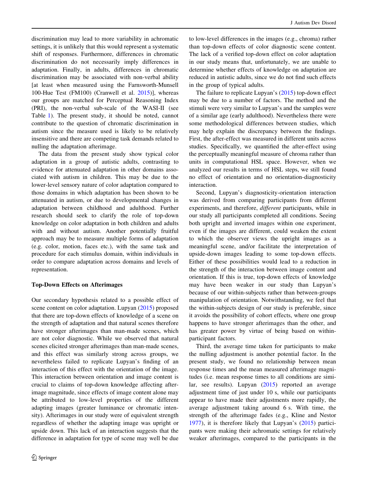discrimination may lead to more variability in achromatic settings, it is unlikely that this would represent a systematic shift of responses. Furthermore, differences in chromatic discrimination do not necessarily imply differences in adaptation. Finally, in adults, differences in chromatic discrimination may be associated with non-verbal ability [at least when measured using the Farnsworth-Munsell 100-Hue Test (FM100) (Cranwell et al. [2015\)](#page-12-0)], whereas our groups are matched for Perceptual Reasoning Index (PRI), the non-verbal sub-scale of the WASI-II (see Table [1](#page-4-0)). The present study, it should be noted, cannot contribute to the question of chromatic discrimination in autism since the measure used is likely to be relatively insensitive and there are competing task demands related to nulling the adaptation afterimage.

The data from the present study show typical color adaptation in a group of autistic adults, contrasting to evidence for attenuated adaptation in other domains associated with autism in children. This may be due to the lower-level sensory nature of color adaptation compared to those domains in which adaptation has been shown to be attenuated in autism, or due to developmental changes in adaptation between childhood and adulthood. Further research should seek to clarify the role of top-down knowledge on color adaptation in both children and adults with and without autism. Another potentially fruitful approach may be to measure multiple forms of adaptation (e.g. color, motion, faces etc.), with the same task and procedure for each stimulus domain, within individuals in order to compare adaptation across domains and levels of representation.

#### Top-Down Effects on Afterimages

Our secondary hypothesis related to a possible effect of scene content on color adaptation. Lupyan ([2015\)](#page-13-0) proposed that there are top-down effects of knowledge of a scene on the strength of adaptation and that natural scenes therefore have stronger afterimages than man-made scenes, which are not color diagnostic. While we observed that natural scenes elicited stronger afterimages than man-made scenes, and this effect was similarly strong across groups, we nevertheless failed to replicate Lupyan's finding of an interaction of this effect with the orientation of the image. This interaction between orientation and image content is crucial to claims of top-down knowledge affecting afterimage magnitude, since effects of image content alone may be attributed to low-level properties of the different adapting images (greater luminance or chromatic intensity). Afterimages in our study were of equivalent strength regardless of whether the adapting image was upright or upside down. This lack of an interaction suggests that the difference in adaptation for type of scene may well be due

to low-level differences in the images (e.g., chroma) rather than top-down effects of color diagnostic scene content. The lack of a verified top-down effect on color adaptation in our study means that, unfortunately, we are unable to determine whether effects of knowledge on adaptation are reduced in autistic adults, since we do not find such effects in the group of typical adults.

The failure to replicate Lupyan's ([2015\)](#page-13-0) top-down effect may be due to a number of factors. The method and the stimuli were very similar to Lupyan's and the samples were of a similar age (early adulthood). Nevertheless there were some methodological differences between studies, which may help explain the discrepancy between the findings. First, the after-effect was measured in different units across studies. Specifically, we quantified the after-effect using the perceptually meaningful measure of chroma rather than units in computational HSL space. However, when we analyzed our results in terms of HSL steps, we still found no effect of orientation and no orientation-diagnosticity interaction.

Second, Lupyan's diagnosticity-orientation interaction was derived from comparing participants from different experiments, and therefore, different participants, while in our study all participants completed all conditions. Seeing both upright and inverted images within one experiment, even if the images are different, could weaken the extent to which the observer views the upright images as a meaningful scene, and/or facilitate the interpretation of upside-down images leading to some top-down effects. Either of these possibilities would lead to a reduction in the strength of the interaction between image content and orientation. If this is true, top-down effects of knowledge may have been weaker in our study than Lupyan's because of our within-subjects rather than between-groups manipulation of orientation. Notwithstanding, we feel that the within-subjects design of our study is preferable, since it avoids the possibility of cohort effects, where one group happens to have stronger afterimages than the other, and has greater power by virtue of being based on withinparticipant factors.

Third, the average time taken for participants to make the nulling adjustment is another potential factor. In the present study, we found no relationship between mean response times and the mean measured afterimage magnitudes (i.e. mean response times to all conditions are similar, see results). Lupyan ([2015\)](#page-13-0) reported an average adjustment time of just under 10 s, while our participants appear to have made their adjustments more rapidly, the average adjustment taking around 6 s. With time, the strength of the afterimage fades (e.g., Kline and Nestor [1977](#page-12-0)), it is therefore likely that Lupyan's ([2015\)](#page-13-0) participants were making their achromatic settings for relatively weaker afterimages, compared to the participants in the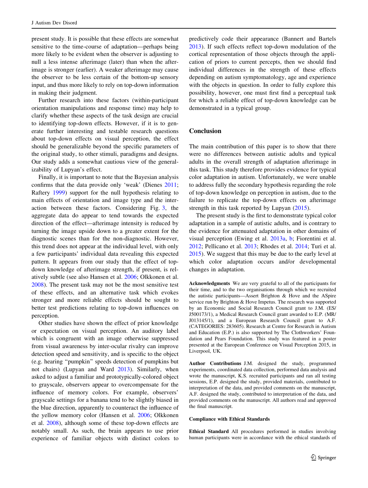present study. It is possible that these effects are somewhat sensitive to the time-course of adaptation—perhaps being more likely to be evident when the observer is adjusting to null a less intense afterimage (later) than when the afterimage is stronger (earlier). A weaker afterimage may cause the observer to be less certain of the bottom-up sensory input, and thus more likely to rely on top-down information in making their judgment.

Further research into these factors (within-participant orientation manipulations and response time) may help to clarify whether these aspects of the task design are crucial to identifying top-down effects. However, if it is to generate further interesting and testable research questions about top-down effects on visual perception, the effect should be generalizable beyond the specific parameters of the original study, to other stimuli, paradigms and designs. Our study adds a somewhat cautious view of the generalizability of Lupyan's effect.

Finally, it is important to note that the Bayesian analysis confirms that the data provide only 'weak' (Dienes [2011](#page-12-0); Raftery [1999](#page-13-0)) support for the null hypothesis relating to main effects of orientation and image type and the interaction between these factors. Considering Fig. [3](#page-8-0), the aggregate data do appear to tend towards the expected direction of the effect—afterimage intensity is reduced by turning the image upside down to a greater extent for the diagnostic scenes than for the non-diagnostic. However, this trend does not appear at the individual level, with only a few participants' individual data revealing this expected pattern. It appears from our study that the effect of topdown knowledge of afterimage strength, if present, is relatively subtle (see also Hansen et al. [2006](#page-12-0); Olkkonen et al. [2008\)](#page-13-0). The present task may not be the most sensitive test of these effects, and an alternative task which evokes stronger and more reliable effects should be sought to better test predictions relating to top-down influences on perception.

Other studies have shown the effect of prior knowledge or expectation on visual perception. An auditory label which is congruent with an image otherwise suppressed from visual awareness by inter-ocular rivalry can improve detection speed and sensitivity, and is specific to the object (e.g. hearing ''pumpkin'' speeds detection of pumpkins but not chairs) (Lupyan and Ward [2013](#page-13-0)). Similarly, when asked to adjust a familiar and prototypically-colored object to grayscale, observers appear to overcompensate for the influence of memory colors. For example, observers' grayscale settings for a banana tend to be slightly biased in the blue direction, apparently to counteract the influence of the yellow memory color (Hansen et al. [2006;](#page-12-0) Olkkonen et al. [2008](#page-13-0)), although some of these top-down effects are notably small. As such, the brain appears to use prior experience of familiar objects with distinct colors to

predictively code their appearance (Bannert and Bartels [2013](#page-12-0)). If such effects reflect top-down modulation of the cortical representation of those objects through the application of priors to current percepts, then we should find individual differences in the strength of these effects depending on autism symptomatology, age and experience with the objects in question. In order to fully explore this possibility, however, one must first find a perceptual task for which a reliable effect of top-down knowledge can be demonstrated in a typical group.

#### **Conclusion**

The main contribution of this paper is to show that there were no differences between autistic adults and typical adults in the overall strength of adaptation afterimage in this task. This study therefore provides evidence for typical color adaptation in autism. Unfortunately, we were unable to address fully the secondary hypothesis regarding the role of top-down knowledge on perception in autism, due to the failure to replicate the top-down effects on afterimage strength in this task reported by Lupyan [\(2015](#page-13-0)).

The present study is the first to demonstrate typical color adaptation in a sample of autistic adults, and is contrary to the evidence for attenuated adaptation in other domains of visual perception (Ewing et al. [2013a](#page-12-0), [b](#page-12-0); Fiorentini et al. [2012](#page-12-0); Pellicano et al. [2013;](#page-13-0) Rhodes et al. [2014;](#page-13-0) Turi et al. [2015](#page-13-0)). We suggest that this may be due to the early level at which color adaptation occurs and/or developmental changes in adaptation.

Acknowledgments We are very grateful to all of the participants for their time, and to the two organisations through which we recruited the autistic participants—Assert Brighton & Hove and the ASpire service run by Brighton & Hove Impetus. The research was supported by an Economic and Social Research Council grant to J.M. (ES/ J500173/1), a Medical Research Council grant awarded to E.P. (MR/ J013145/1), and a European Research Council grant to A.F. (CATEGORIES: 283605). Research at Centre for Research in Autism and Education (E.P.) is also supported by The Clothworkers' Foundation and Pears Foundation. This study was featured in a poster presented at the European Conference on Visual Perception 2015, in Liverpool, UK.

Author Contributions J.M. designed the study, programmed experiments, coordinated data collection, performed data analysis and wrote the manuscript, K.S. recruited participants and ran all testing sessions, E.P. designed the study, provided materials, contributed to interpretation of the data, and provided comments on the manuscript, A.F. designed the study, contributed to interpretation of the data, and provided comments on the manuscript. All authors read and approved the final manuscript.

#### Compliance with Ethical Standards

Ethical Standard All procedures performed in studies involving human participants were in accordance with the ethical standards of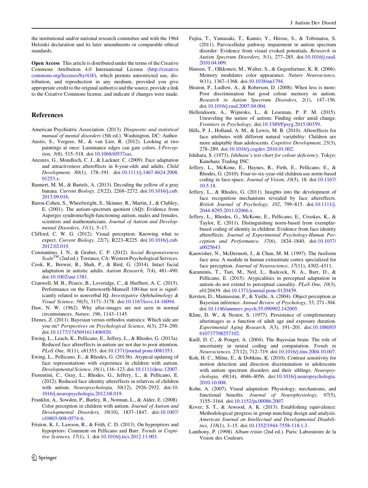<span id="page-12-0"></span>the institutional and/or national research committee and with the 1964 Helsinki declaration and its later amendments or comparable ethical standards.

Open Access This article is distributed under the terms of the Creative Commons Attribution 4.0 International License ([http://creative](http://creativecommons.org/licenses/by/4.0/) [commons.org/licenses/by/4.0/\)](http://creativecommons.org/licenses/by/4.0/), which permits unrestricted use, distribution, and reproduction in any medium, provided you give appropriate credit to the original author(s) and the source, provide a link to the Creative Commons license, and indicate if changes were made.

#### References

- American Psychiatric Association. (2013). Diagnostic and statistical manual of mental disorders (5th ed.). Washington, DC: Author.
- Anstis, S., Vergeer, M., & van Lier, R. (2012). Looking at two paintings at once: Luminance edges can gate colors. I-Percep-tion, 3(8), 515-518. doi[:10.1068/i0537sas.](http://dx.doi.org/10.1068/i0537sas)
- Anzures, G., Mondloch, C. J., & Lackner, C. (2009). Face adaptation and attractiveness aftereffects in 8-year-olds and adults. Child Development, 80(1), 178–191. doi:[10.1111/j.1467-8624.2008.](http://dx.doi.org/10.1111/j.1467-8624.2008.01253.x) [01253.x.](http://dx.doi.org/10.1111/j.1467-8624.2008.01253.x)
- Bannert, M. M., & Bartels, A. (2013). Decoding the yellow of a gray banana. Current Biology, 23(22), 2268–2272. doi[:10.1016/j.cub.](http://dx.doi.org/10.1016/j.cub.2013.09.016) [2013.09.016](http://dx.doi.org/10.1016/j.cub.2013.09.016).
- Baron-Cohen, S., Wheelwright, S., Skinner, R., Martin, J., & Clubley, E. (2001). The autism-spectrum quotient (AQ): Evidence from Asperger syndrome/high-functioning autism, males and females, scientists and mathematicians. Journal of Autism and Developmental Disorders, 31(1), 5-17.
- Clifford, C. W. G. (2012). Visual perception: Knowing what to expect. Current Biology, 22(7), R223–R225. doi[:10.1016/j.cub.](http://dx.doi.org/10.1016/j.cub.2012.02.019) [2012.02.019](http://dx.doi.org/10.1016/j.cub.2012.02.019).
- Constantino, J. N., & Gruber, C. P. (2012). Social Responsiveness  $Scale^{TM}$  (2nd ed.). Torrance, CA: Western Psychological Services.
- Cook, R., Brewer, R., Shah, P., & Bird, G. (2014). Intact facial adaptation in autistic adults. Autism Research, 7(4), 481–490. doi[:10.1002/aur.1381](http://dx.doi.org/10.1002/aur.1381).
- Cranwell, M. B., Pearce, B., Loveridge, C., & Hurlbert, A. C. (2015). Performance on the Farnsworth-Munsell 100-hue test is significantly related to nonverbal IQ. Investigative Ophthalmology & Visual Science, 56(5), 3171–3178. doi[:10.1167/iovs.14-16094.](http://dx.doi.org/10.1167/iovs.14-16094)
- Daw, N. W. (1962). Why after-images are not seen in normal circumstances. Nature, 196, 1143–1145.
- Dienes, Z. (2011). Bayesian versus orthodox statistics: Which side are you on? Perspectives on Psychological Science, 6(3), 274–290. doi[:10.1177/1745691611406920.](http://dx.doi.org/10.1177/1745691611406920)
- Ewing, L., Leach, K., Pellicano, E., Jeffery, L., & Rhodes, G. (2013a). Reduced face aftereffects in autism are not due to poor attention. PLoS One, 8(11), e81353. doi:[10.1371/journal.pone.0081353](http://dx.doi.org/10.1371/journal.pone.0081353).
- Ewing, L., Pellicano, E., & Rhodes, G. (2013b). Atypical updating of face representations with experience in children with autism. Developmental Science, 16(1), 116–123. doi:[10.1111/desc.12007](http://dx.doi.org/10.1111/desc.12007).
- Fiorentini, C., Gray, L., Rhodes, G., Jeffery, L., & Pellicano, E. (2012). Reduced face identity aftereffects in relatives of children with autism. Neuropsychologia, 50(12), 2926–2932. doi:[10.](http://dx.doi.org/10.1016/j.neuropsychologia.2012.08.019) [1016/j.neuropsychologia.2012.08.019.](http://dx.doi.org/10.1016/j.neuropsychologia.2012.08.019)
- Franklin, A., Sowden, P., Burley, R., Notman, L., & Alder, E. (2008). Color perception in children with autism. Journal of Autism and Developmental Disorders, 38(10), 1837–1847. doi[:10.1007/](http://dx.doi.org/10.1007/s10803-008-0574-6) [s10803-008-0574-6.](http://dx.doi.org/10.1007/s10803-008-0574-6)
- Friston, K. J., Lawson, R., & Frith, C. D. (2013). On hyperpriors and hypopriors: Comment on Pellicano and Burr. Trends in Cognitive Sciences, 17(1), 1. doi[:10.1016/j.tics.2012.11.003.](http://dx.doi.org/10.1016/j.tics.2012.11.003)
- Fujita, T., Yamasaki, T., Kamio, Y., Hirose, S., & Tobimatsu, S. (2011). Parvocellular pathway impairment in autism spectrum disorder: Evidence from visual evoked potentials. Research in Autism Spectrum Disorders, 5(1), 277–285. doi:[10.1016/j.rasd.](http://dx.doi.org/10.1016/j.rasd.2010.04.009) [2010.04.009](http://dx.doi.org/10.1016/j.rasd.2010.04.009).
- Hansen, T., Olkkonen, M., Walter, S., & Gegenfurtner, K. R. (2006). Memory modulates color appearance. Nature Neuroscience, 9(11), 1367–1368. doi:[10.1038/nn1794](http://dx.doi.org/10.1038/nn1794).
- Heaton, P., Ludlow, A., & Roberson, D. (2008). When less is more: Poor discrimination but good colour memory in autism. Research in Autism Spectrum Disorders, 2(1), 147–156. doi[:10.1016/j.rasd.2007.04.004](http://dx.doi.org/10.1016/j.rasd.2007.04.004).
- Hellendoorn, A., Wijnroks, L., & Leseman, P. P. M. (2015). Unraveling the nature of autism: Finding order amid change. Frontiers in Psychology, doi:[10.3389/Fpsyg.2015.00359.](http://dx.doi.org/10.3389/Fpsyg.2015.00359)
- Hills, P. J., Holland, A. M., & Lewis, M. B. (2010). Aftereffects for face attributes with different natural variability: Children are more adaptable than adolescents. Cognitive Development, 25(3), 278–289. doi:[10.1016/j.cogdev.2010.01.002](http://dx.doi.org/10.1016/j.cogdev.2010.01.002).
- Ishihara, S. (1973). Ishihara's test chart for colour deficiency. Tokyo: Kanehara Trading INC.
- Jeffery, L., McKone, E., Haynes, R., Firth, E., Pellicano, E., & Rhodes, G. (2010). Four-to-six-year-old children use norm-based coding in face-space. Journal of Vision, 10(5), 18. doi[:10.1167/](http://dx.doi.org/10.1167/10.5.18) [10.5.18.](http://dx.doi.org/10.1167/10.5.18)
- Jeffery, L., & Rhodes, G. (2011). Insights into the development of face recognition mechanisms revealed by face aftereffects. British Journal of Psychology, 102, 799–815. doi:[10.1111/j.](http://dx.doi.org/10.1111/j.2044-8295.2011.02066.x) [2044-8295.2011.02066.x.](http://dx.doi.org/10.1111/j.2044-8295.2011.02066.x)
- Jeffery, L., Rhodes, G., McKone, E., Pellicano, E., Crookes, K., & Taylor, E. (2011). Distinguishing norm-based from exemplarbased coding of identity in children: Evidence from face identity aftereffects. Journal of Experimental Psychology-Human Perception and Performance, 37(6), 1824–1840. doi[:10.1037/](http://dx.doi.org/10.1037/a0025643) [a0025643.](http://dx.doi.org/10.1037/a0025643)
- Kanwisher, N., McDermott, J., & Chun, M. M. (1997). The fusiform face area: A module in human extrastriate cortex specialized for face perception. Journal of Neuroscience, 17(11), 4302–4311.
- Karaminis, T., Turi, M., Neil, L., Badcock, N. A., Burr, D., & Pellicano, E. (2015). Atypicalities in perceptual adaptation in autism do not extend to perceptual causality. PLoS One, 10(3), e0120439. doi:[10.1371/journal.pone.0120439](http://dx.doi.org/10.1371/journal.pone.0120439).
- Kersten, D., Mamassian, P., & Yuille, A. (2004). Object perception as Bayesian inference. Annual Review of Psychology, 55, 271–304. doi[:10.1146/annurev.psych.55.090902.142005](http://dx.doi.org/10.1146/annurev.psych.55.090902.142005).
- Kline, D. W., & Nestor, S. (1977). Persistence of complementary afterimages as a function of adult age and exposure duration. Experimental Aging Research, 3(3), 191–201. doi:[10.1080/03](http://dx.doi.org/10.1080/03610737708257102) [610737708257102.](http://dx.doi.org/10.1080/03610737708257102)
- Knill, D. C., & Pouget, A. (2004). The Bayesian brain: The role of uncertainty in neural coding and computation. Trends in Neurosciences, 27(12), 712–719. doi[:10.1016/j.tins.2004.10.007](http://dx.doi.org/10.1016/j.tins.2004.10.007).
- Koh, H. C., Milne, E., & Dobkins, K. (2010). Contrast sensitivity for motion detection and direction discrimination in adolescents with autism spectrum disorders and their siblings. Neuropsychologia, 48(14), 4046–4056. doi[:10.1016/j.neuropsychologia.](http://dx.doi.org/10.1016/j.neuropsychologia.2010.10.008) [2010.10.008](http://dx.doi.org/10.1016/j.neuropsychologia.2010.10.008).
- Kohn, A. (2007). Visual adaptation: Physiology, mechanisms, and functional benefits. Journal of Neurophysiology, 97(5), 3155–3164. doi[:10.1152/jn.00086.2007](http://dx.doi.org/10.1152/jn.00086.2007).
- Kover, S. T., & Atwood, A. K. (2013). Establishing equivalence: Methodological progress in group-matching design and analysis. American Journal on Intellectual and Developmental Disabilities, 118(1), 3–15. doi:[10.1352/1944-7558-118.1.3](http://dx.doi.org/10.1352/1944-7558-118.1.3).
- Lanthony, P. (1998). Album tritan (2nd ed.). Paris: Laboratoire de la Vision des Couleurs.